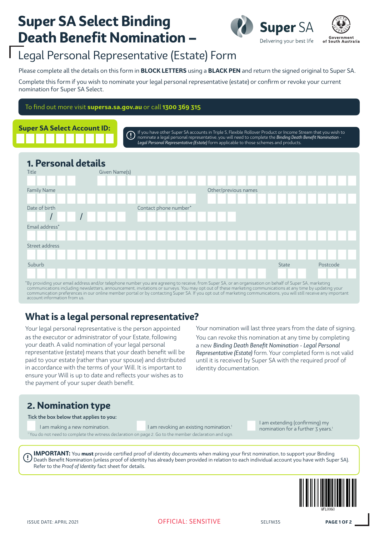## **Super SA Select Binding Death Benefit Nomination –**



### Legal Personal Representative (Estate) Form

Please complete all the details on this form in **BLOCK LETTERS** using a **BLACK PEN** and return the signed original to Super SA.

Complete this form if you wish to nominate your legal personal representative (estate) or confirm or revoke your current nomination for Super SA Select.

To find out more visit **supersa.sa.gov.au** or call **1300 369 315**



If you have other Super SA accounts in Triple S, Flexible Rollover Product or Income Stream that you wish to  $\left( \overline{.}\right)$ nominate a legal personal representative, you will need to complete the *Binding Death Benefit Nomination - Legal Personal Representative (Estate)* form applicable to those schemes and products.

### **1. Personal details**



communications including newsletters, announcement, invitations or surveys. You may opt out of these marketing communications at any time by updating your<br>communication preferences in our online member portal or by contact account information from us.

### **What is a legal personal representative?**

Your legal personal representative is the person appointed as the executor or administrator of your Estate, following your death. A valid nomination of your legal personal representative (estate) means that your death benefit will be paid to your estate (rather than your spouse) and distributed in accordance with the terms of your Will. It is important to ensure your Will is up to date and reflects your wishes as to the payment of your super death benefit.

Your nomination will last three years from the date of signing.

You can revoke this nomination at any time by completing a new *Binding Death Benefit Nomination - Legal Personal Representative (Estate)* form. Your completed form is not valid until it is received by Super SA with the required proof of identity documentation.

### **2. Nomination type**

Tick the box below that applies to you:

<sup>1</sup> You do not need to complete the witness declaration on page 2. Go to the member declaration and sign.

I am making a new nomination.<br>I am making a new nomination.<br>I am revoking an existing nomination.<sup>1</sup> I am extending (confirming) my nomination for a further 3 years.<sup>1</sup>

**IMPORTANT:** You **must** provide certified proof of identity documents when making your first nomination, to support your Binding Death Benefit Nomination (unless proof of identity has already been provided in relation to each individual account you have with Super SA). Refer to the *Proof of Identity* fact sheet for details.